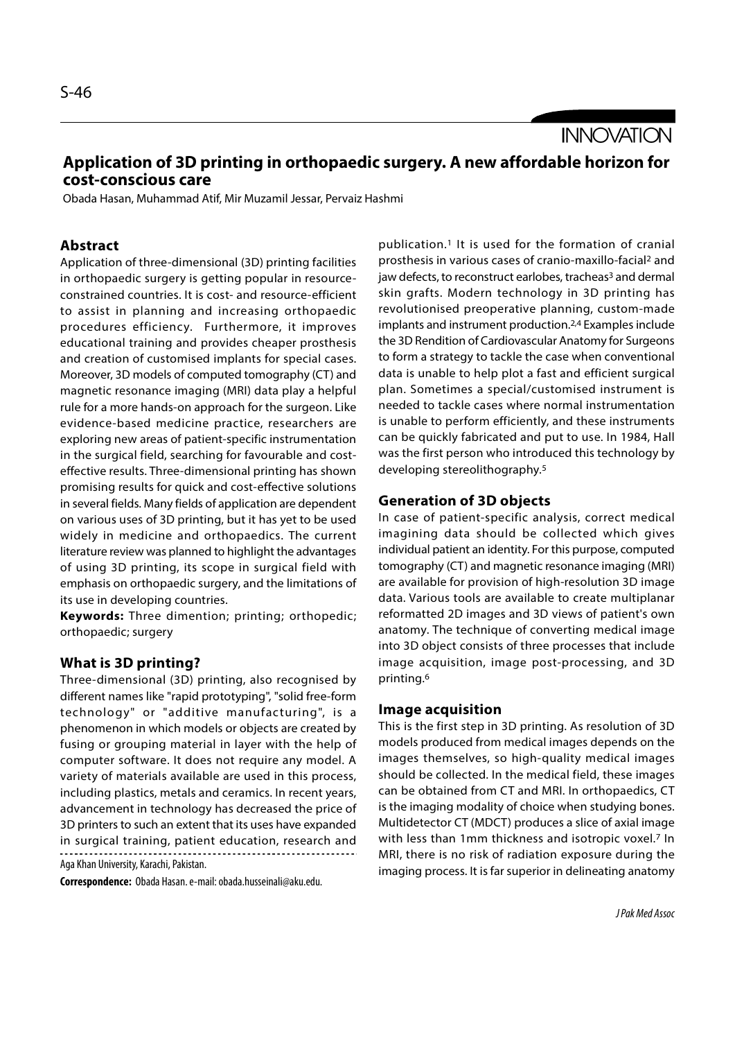**INNOVATION** 

# Application of 3D printing in orthopaedic surgery. A new affordable horizon for cost-conscious care

Obada Hasan, Muhammad Atif, Mir Muzamil Jessar, Pervaiz Hashmi

### Abstract

Application of three-dimensional (3D) printing facilities in orthopaedic surgery is getting popular in resourceconstrained countries. It is cost- and resource-efficient to assist in planning and increasing orthopaedic procedures efficiency. Furthermore, it improves educational training and provides cheaper prosthesis and creation of customised implants for special cases. Moreover, 3D models of computed tomography (CT) and magnetic resonance imaging (MRI) data play a helpful rule for a more hands-on approach for the surgeon. Like evidence-based medicine practice, researchers are exploring new areas of patient-specific instrumentation in the surgical field, searching for favourable and costeffective results. Three-dimensional printing has shown promising results for quick and cost-effective solutions in several fields. Many fields of application are dependent on various uses of 3D printing, but it has yet to be used widely in medicine and orthopaedics. The current literature review was planned to highlight the advantages of using 3D printing, its scope in surgical field with emphasis on orthopaedic surgery, and the limitations of its use in developing countries.

Keywords: Three dimention; printing; orthopedic; orthopaedic; surgery

### What is 3D printing?

Three-dimensional (3D) printing, also recognised by different names like "rapid prototyping", "solid free-form technology" or "additive manufacturing", is a phenomenon in which models or objects are created by fusing or grouping material in layer with the help of computer software. It does not require any model. A variety of materials available are used in this process, including plastics, metals and ceramics. In recent years, advancement in technology has decreased the price of 3D printers to such an extent that its uses have expanded in surgical training, patient education, research and

Aga Khan University, Karachi, Pakistan.

Correspondence: Obada Hasan. e-mail: obada.husseinali@aku.edu.

publication.1 It is used for the formation of cranial prosthesis in various cases of cranio-maxillo-facial2 and jaw defects, to reconstruct earlobes, tracheas<sup>3</sup> and dermal skin grafts. Modern technology in 3D printing has revolutionised preoperative planning, custom-made implants and instrument production.2,4 Examples include the 3D Rendition of Cardiovascular Anatomy for Surgeons to form a strategy to tackle the case when conventional data is unable to help plot a fast and efficient surgical plan. Sometimes a special/customised instrument is needed to tackle cases where normal instrumentation is unable to perform efficiently, and these instruments can be quickly fabricated and put to use. In 1984, Hall was the first person who introduced this technology by developing stereolithography.5

#### Generation of 3D objects

In case of patient-specific analysis, correct medical imagining data should be collected which gives individual patient an identity. For this purpose, computed tomography (CT) and magnetic resonance imaging (MRI) are available for provision of high-resolution 3D image data. Various tools are available to create multiplanar reformatted 2D images and 3D views of patient's own anatomy. The technique of converting medical image into 3D object consists of three processes that include image acquisition, image post-processing, and 3D printing.6

#### Image acquisition

This is the first step in 3D printing. As resolution of 3D models produced from medical images depends on the images themselves, so high-quality medical images should be collected. In the medical field, these images can be obtained from CT and MRI. In orthopaedics, CT is the imaging modality of choice when studying bones. Multidetector CT (MDCT) produces a slice of axial image with less than 1mm thickness and isotropic voxel.<sup>7</sup> In MRI, there is no risk of radiation exposure during the imaging process. It is far superior in delineating anatomy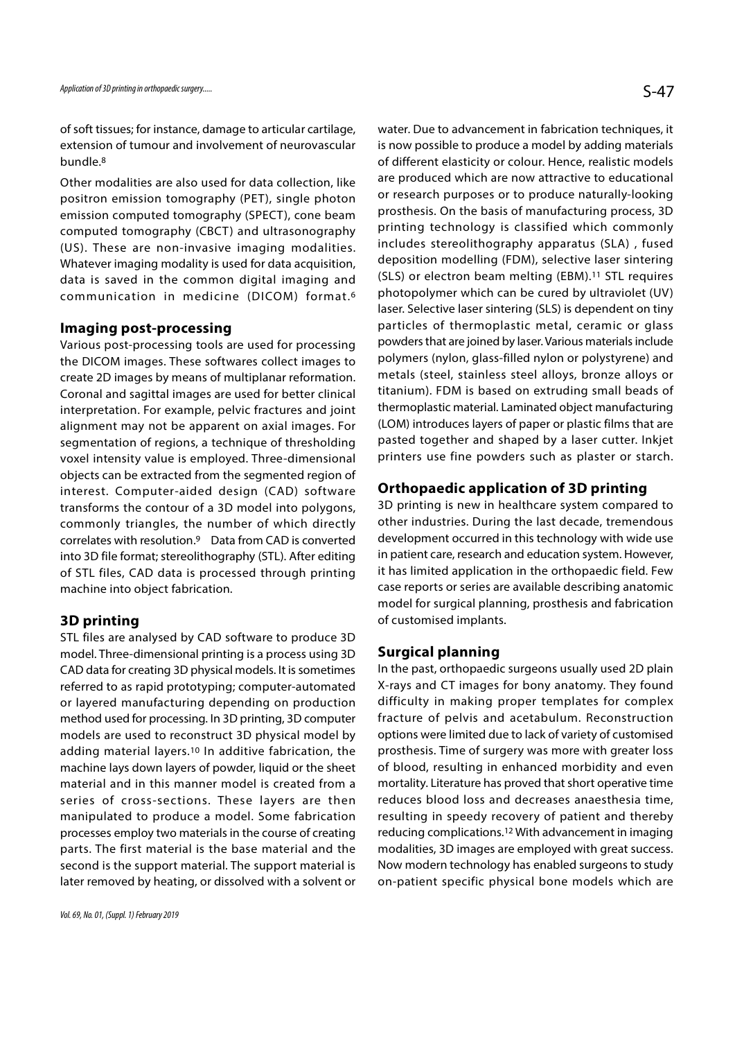of soft tissues; for instance, damage to articular cartilage, extension of tumour and involvement of neurovascular bundle.8

Other modalities are also used for data collection, like positron emission tomography (PET), single photon emission computed tomography (SPECT), cone beam computed tomography (CBCT) and ultrasonography (US). These are non-invasive imaging modalities. Whatever imaging modality is used for data acquisition, data is saved in the common digital imaging and communication in medicine (DICOM) format.6

#### Imaging post-processing

Various post-processing tools are used for processing the DICOM images. These softwares collect images to create 2D images by means of multiplanar reformation. Coronal and sagittal images are used for better clinical interpretation. For example, pelvic fractures and joint alignment may not be apparent on axial images. For segmentation of regions, a technique of thresholding voxel intensity value is employed. Three-dimensional objects can be extracted from the segmented region of interest. Computer-aided design (CAD) software transforms the contour of a 3D model into polygons, commonly triangles, the number of which directly correlates with resolution.9 Data from CAD is converted into 3D file format; stereolithography (STL). After editing of STL files, CAD data is processed through printing machine into object fabrication.

### 3D printing

STL files are analysed by CAD software to produce 3D model. Three-dimensional printing is a process using 3D CAD data for creating 3D physical models. It is sometimes referred to as rapid prototyping; computer-automated or layered manufacturing depending on production method used for processing. In 3D printing, 3D computer models are used to reconstruct 3D physical model by adding material layers.10 In additive fabrication, the machine lays down layers of powder, liquid or the sheet material and in this manner model is created from a series of cross-sections. These layers are then manipulated to produce a model. Some fabrication processes employ two materials in the course of creating parts. The first material is the base material and the second is the support material. The support material is later removed by heating, or dissolved with a solvent or water. Due to advancement in fabrication techniques, it is now possible to produce a model by adding materials of different elasticity or colour. Hence, realistic models are produced which are now attractive to educational or research purposes or to produce naturally-looking prosthesis. On the basis of manufacturing process, 3D printing technology is classified which commonly includes stereolithography apparatus (SLA) , fused deposition modelling (FDM), selective laser sintering (SLS) or electron beam melting (EBM).<sup>11</sup> STL requires photopolymer which can be cured by ultraviolet (UV) laser. Selective laser sintering (SLS) is dependent on tiny particles of thermoplastic metal, ceramic or glass powders that are joined by laser. Various materials include polymers (nylon, glass-filled nylon or polystyrene) and metals (steel, stainless steel alloys, bronze alloys or titanium). FDM is based on extruding small beads of thermoplastic material. Laminated object manufacturing (LOM) introduces layers of paper or plastic films that are pasted together and shaped by a laser cutter. Inkjet printers use fine powders such as plaster or starch.

## Orthopaedic application of 3D printing

3D printing is new in healthcare system compared to other industries. During the last decade, tremendous development occurred in this technology with wide use in patient care, research and education system. However, it has limited application in the orthopaedic field. Few case reports or series are available describing anatomic model for surgical planning, prosthesis and fabrication of customised implants.

### Surgical planning

In the past, orthopaedic surgeons usually used 2D plain X-rays and CT images for bony anatomy. They found difficulty in making proper templates for complex fracture of pelvis and acetabulum. Reconstruction options were limited due to lack of variety of customised prosthesis. Time of surgery was more with greater loss of blood, resulting in enhanced morbidity and even mortality. Literature has proved that short operative time reduces blood loss and decreases anaesthesia time, resulting in speedy recovery of patient and thereby reducing complications.12 With advancement in imaging modalities, 3D images are employed with great success. Now modern technology has enabled surgeons to study on-patient specific physical bone models which are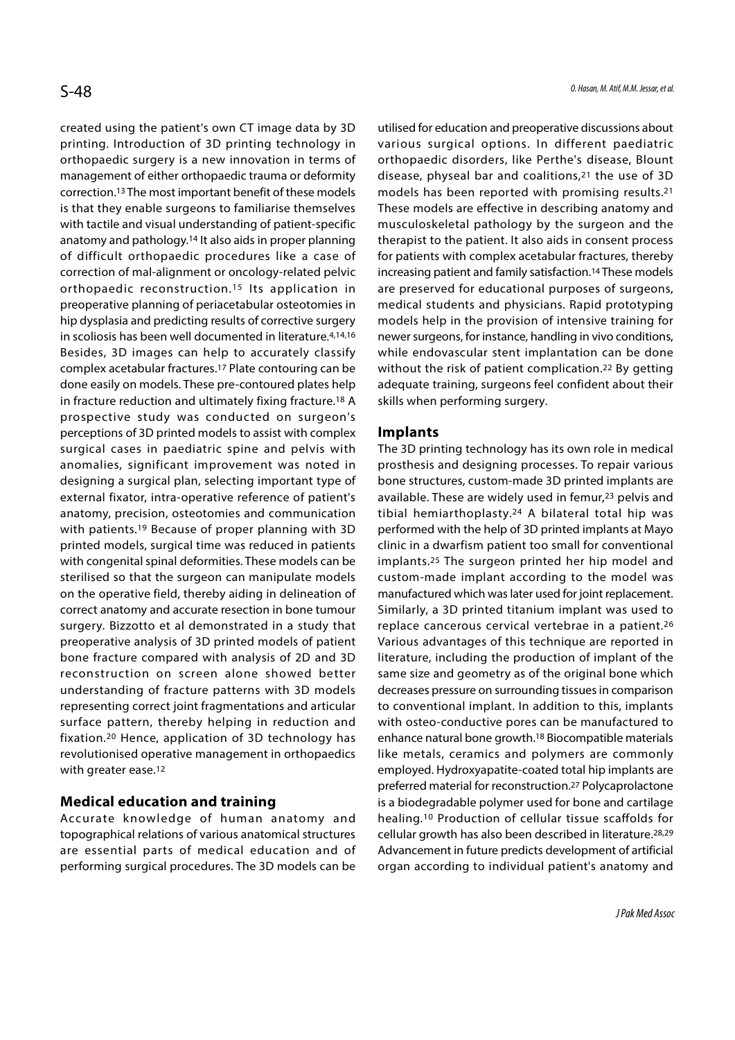created using the patient's own CT image data by 3D printing. Introduction of 3D printing technology in orthopaedic surgery is a new innovation in terms of management of either orthopaedic trauma or deformity correction.13 The most important benefit of these models is that they enable surgeons to familiarise themselves with tactile and visual understanding of patient-specific anatomy and pathology.14 It also aids in proper planning of difficult orthopaedic procedures like a case of correction of mal-alignment or oncology-related pelvic orthopaedic reconstruction.15 Its application in preoperative planning of periacetabular osteotomies in hip dysplasia and predicting results of corrective surgery in scoliosis has been well documented in literature.4,14,16 Besides, 3D images can help to accurately classify complex acetabular fractures.17 Plate contouring can be done easily on models. These pre-contoured plates help in fracture reduction and ultimately fixing fracture.18 A prospective study was conducted on surgeon's perceptions of 3D printed models to assist with complex surgical cases in paediatric spine and pelvis with anomalies, significant improvement was noted in designing a surgical plan, selecting important type of external fixator, intra-operative reference of patient's anatomy, precision, osteotomies and communication with patients.19 Because of proper planning with 3D printed models, surgical time was reduced in patients with congenital spinal deformities. These models can be sterilised so that the surgeon can manipulate models on the operative field, thereby aiding in delineation of correct anatomy and accurate resection in bone tumour surgery. Bizzotto et al demonstrated in a study that preoperative analysis of 3D printed models of patient bone fracture compared with analysis of 2D and 3D reconstruction on screen alone showed better understanding of fracture patterns with 3D models representing correct joint fragmentations and articular surface pattern, thereby helping in reduction and fixation.20 Hence, application of 3D technology has revolutionised operative management in orthopaedics with greater ease.12

## Medical education and training

Accurate knowledge of human anatomy and topographical relations of various anatomical structures are essential parts of medical education and of performing surgical procedures. The 3D models can be utilised for education and preoperative discussions about various surgical options. In different paediatric orthopaedic disorders, like Perthe's disease, Blount disease, physeal bar and coalitions,21 the use of 3D models has been reported with promising results.21 These models are effective in describing anatomy and musculoskeletal pathology by the surgeon and the therapist to the patient. It also aids in consent process for patients with complex acetabular fractures, thereby increasing patient and family satisfaction.14 These models are preserved for educational purposes of surgeons, medical students and physicians. Rapid prototyping models help in the provision of intensive training for newer surgeons, for instance, handling in vivo conditions, while endovascular stent implantation can be done without the risk of patient complication.22 By getting adequate training, surgeons feel confident about their skills when performing surgery.

### Implants

The 3D printing technology has its own role in medical prosthesis and designing processes. To repair various bone structures, custom-made 3D printed implants are available. These are widely used in femur,<sup>23</sup> pelvis and tibial hemiarthoplasty.24 A bilateral total hip was performed with the help of 3D printed implants at Mayo clinic in a dwarfism patient too small for conventional implants.25 The surgeon printed her hip model and custom-made implant according to the model was manufactured which was later used for joint replacement. Similarly, a 3D printed titanium implant was used to replace cancerous cervical vertebrae in a patient.26 Various advantages of this technique are reported in literature, including the production of implant of the same size and geometry as of the original bone which decreases pressure on surrounding tissues in comparison to conventional implant. In addition to this, implants with osteo-conductive pores can be manufactured to enhance natural bone growth.18 Biocompatible materials like metals, ceramics and polymers are commonly employed. Hydroxyapatite-coated total hip implants are preferred material for reconstruction.27 Polycaprolactone is a biodegradable polymer used for bone and cartilage healing.10 Production of cellular tissue scaffolds for cellular growth has also been described in literature.28,29 Advancement in future predicts development of artificial organ according to individual patient's anatomy and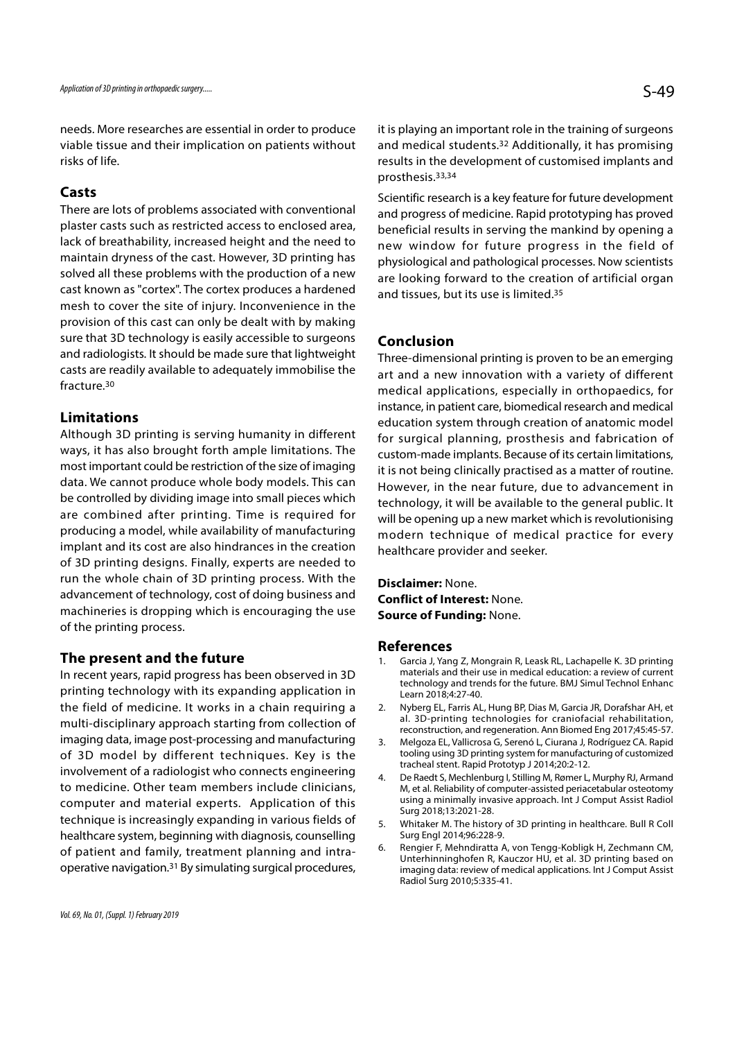needs. More researches are essential in order to produce viable tissue and their implication on patients without risks of life.

### Casts

There are lots of problems associated with conventional plaster casts such as restricted access to enclosed area, lack of breathability, increased height and the need to maintain dryness of the cast. However, 3D printing has solved all these problems with the production of a new cast known as "cortex". The cortex produces a hardened mesh to cover the site of injury. Inconvenience in the provision of this cast can only be dealt with by making sure that 3D technology is easily accessible to surgeons and radiologists. It should be made sure that lightweight casts are readily available to adequately immobilise the fracture.30

### Limitations

Although 3D printing is serving humanity in different ways, it has also brought forth ample limitations. The most important could be restriction of the size of imaging data. We cannot produce whole body models. This can be controlled by dividing image into small pieces which are combined after printing. Time is required for producing a model, while availability of manufacturing implant and its cost are also hindrances in the creation of 3D printing designs. Finally, experts are needed to run the whole chain of 3D printing process. With the advancement of technology, cost of doing business and machineries is dropping which is encouraging the use of the printing process.

### The present and the future

In recent years, rapid progress has been observed in 3D printing technology with its expanding application in the field of medicine. It works in a chain requiring a 2. Nyberg EL, Farris AL, Hung BP, Dias M, Garcia JR, Dorafshar AH, et multi-disciplinary approach starting from collection of imaging data, image post-processing and manufacturing and manufacturing and marging and subsequently and the subsequently subsequently in the series of L. Ciurana J. Rodríguez CA. Rapid of 3D model by different techniques. Key is the involvement of a radiologist who connects engineering<br>Le Raedt S, Mechlenburg I, Stilling M, Rømer L, Murphy RJ, Armand to medicine. Other team members include clinicians, computer and material experts. Application of this technique is increasingly expanding in various fields of  $\frac{5.000}{2}$  whitaker M. The history of 3D printing in healthcare. Bull R Coll healthcare system, beginning with diagnosis, counselling Surg Engl 2014;96:228-9.<br>Of patient and family treatment planning and intra- 6. Rengier F, Mehndiratta A, von Tengg-Kobligk H, Zechmann CM, of patient and family, treatment planning and intraoperative navigation.31 By simulating surgical procedures,

it is playing an important role in the training of surgeons and medical students.32 Additionally, it has promising results in the development of customised implants and prosthesis.33,34

Scientific research is a key feature for future development and progress of medicine. Rapid prototyping has proved beneficial results in serving the mankind by opening a new window for future progress in the field of physiological and pathological processes. Now scientists are looking forward to the creation of artificial organ and tissues, but its use is limited.35

### Conclusion

Three-dimensional printing is proven to be an emerging art and a new innovation with a variety of different medical applications, especially in orthopaedics, for instance, in patient care, biomedical research and medical education system through creation of anatomic model for surgical planning, prosthesis and fabrication of custom-made implants. Because of its certain limitations, it is not being clinically practised as a matter of routine. However, in the near future, due to advancement in technology, it will be available to the general public. It will be opening up a new market which is revolutionising modern technique of medical practice for every healthcare provider and seeker.

Disclaimer: None. Conflict of Interest: None. Source of Funding: None.

#### References

- WIII be opening up a new market which is revolutionising<br>
modern technique of medical practice for every<br>
healthcare provider and seeker.<br> **Disclaimer:** None.<br> **Conflict of Interest:** None.<br> **References**<br>
1. Garcia J, Yang materials and their use in medical education: a review of current technology and trends for the future. BMJ Simul Technol Enhanc Learn 2018;4:27-40. **Disclaimer:** None.<br> **Source of Funding:** None.<br> **References**<br>
1. Garcia J, Yang Z, Mongrain R, Leask RL, Lachapelle K. 3D printing<br>
materials and their use in medical education: a review of current<br>
technology and trends **Source of Funding:** None.<br> **References**<br>
1. Garcia J, Yang Z, Mongrain R, Leask RL, Lachapelle K. 3D printing<br>
materials and their use in medical education: a review of current<br>
technology and trends for the future. BMJ S **References**<br>
1. Garcia J, Yang Z, Mongrain R, Leask RL, Lachapelle K. 3D printing<br>
materials and their use in medical education: a review of current<br>
technology and trends for the future. BMJ Simul Technol Enhanc<br>
Learn 2
- al. 3D-printing technologies for craniofacial rehabilitation, reconstruction, and regeneration. Ann Biomed Eng 2017;45:45-57.
- tooling using 3D printing system for manufacturing of customized tracheal stent. Rapid Prototyp J 2014;20:2-12.
- M, et al. Reliability of computer-assisted periacetabular osteotomy using a minimally invasive approach. Int J Comput Assist Radiol Surg 2018;13:2021-28. technology and trends for the future. BMJ Simul Technol Enhanc<br>Learn 2018;4:27-40.<br>
2. Nyberg EL, Farris AL, Hung BP, Dias M, Garcia JR, Dorafshar AH, et<br>
al. 3D-printing technologies for craniofacial rehabilitation,<br>
reco
- Surg Engl 2014;96:228-9.
- 2. Nyberg EL, Farris AL, Hung BP, Dias M, Garcia JR, Dorafshar AH, et al. 3D-printing technologies for craniofacial rehabilitation, reconstruction, and regeneration. Ann Biomed Eng 2017;45:45-57.<br>
3. Melgoza EL, Vallicrosa Unterhinninghofen R, Kauczor HU, et al. 3D printing based on imaging data: review of medical applications. Int J Comput Assist Radiol Surg 2010;5:335-41.